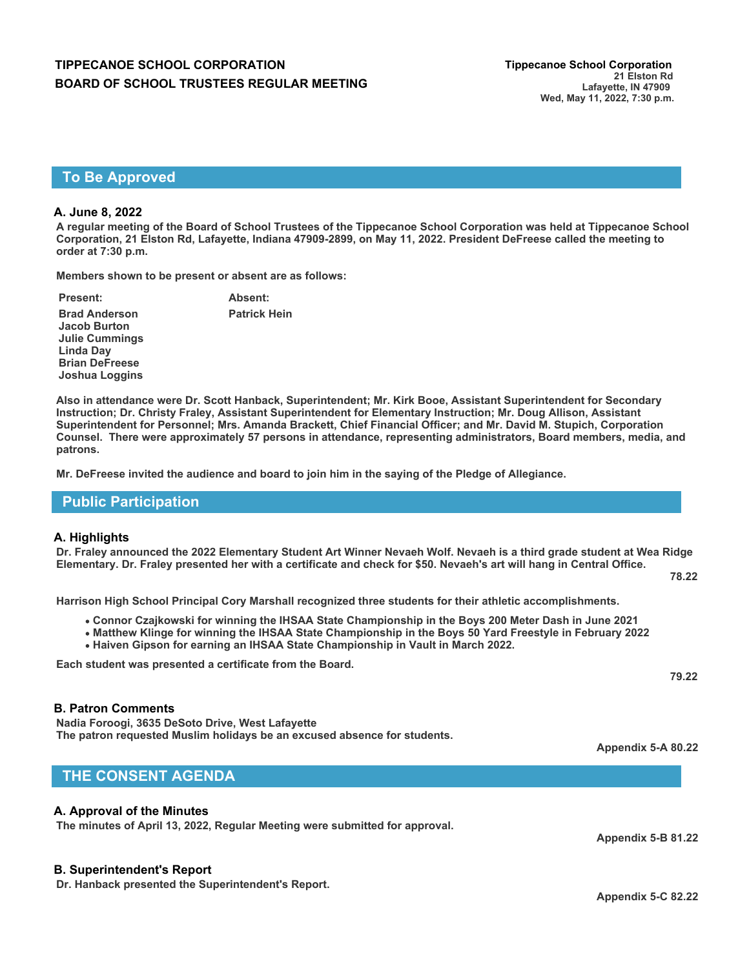## **To Be Approved**

#### **A. June 8, 2022**

**A regular meeting of the Board of School Trustees of the Tippecanoe School Corporation was held at Tippecanoe School Corporation, 21 Elston Rd, Lafayette, Indiana 47909-2899, on May 11, 2022. President DeFreese called the meeting to order at 7:30 p.m.**

**Members shown to be present or absent are as follows:**

| <b>Present:</b>       | Absent:             |
|-----------------------|---------------------|
| <b>Brad Anderson</b>  | <b>Patrick Hein</b> |
| <b>Jacob Burton</b>   |                     |
| <b>Julie Cummings</b> |                     |
| Linda Day             |                     |
| <b>Brian DeFreese</b> |                     |
| Joshua Loggins        |                     |

**Also in attendance were Dr. Scott Hanback, Superintendent; Mr. Kirk Booe, Assistant Superintendent for Secondary Instruction; Dr. Christy Fraley, Assistant Superintendent for Elementary Instruction; Mr. Doug Allison, Assistant Superintendent for Personnel; Mrs. Amanda Brackett, Chief Financial Officer; and Mr. David M. Stupich, Corporation Counsel. There were approximately 57 persons in attendance, representing administrators, Board members, media, and patrons.**

**Mr. DeFreese invited the audience and board to join him in the saying of the Pledge of Allegiance.**

#### **Public Participation**

#### **A. Highlights**

**Dr. Fraley announced the 2022 Elementary Student Art Winner Nevaeh Wolf. Nevaeh is a third grade student at Wea Ridge Elementary. Dr. Fraley presented her with a certificate and check for \$50. Nevaeh's art will hang in Central Office.** 

**78.22**

**Harrison High School Principal Cory Marshall recognized three students for their athletic accomplishments.** 

- **Connor Czajkowski for winning the IHSAA State Championship in the Boys 200 Meter Dash in June 2021**
- **Matthew Klinge for winning the IHSAA State Championship in the Boys 50 Yard Freestyle in February 2022**
- **Haiven Gipson for earning an IHSAA State Championship in Vault in March 2022.**

**Each student was presented a certificate from the Board.**

#### **B. Patron Comments**

**Nadia Foroogi, 3635 DeSoto Drive, West Lafayette The patron requested Muslim holidays be an excused absence for students.** 

## **THE CONSENT AGENDA**

#### **A. Approval of the Minutes**

**The minutes of April 13, 2022, Regular Meeting were submitted for approval.**

#### **B. Superintendent's Report**

**Dr. Hanback presented the Superintendent's Report.** 

**Appendix 5-B 81.22**

**Appendix 5-A 80.22**

**Appendix 5-C 82.22**

**79.22**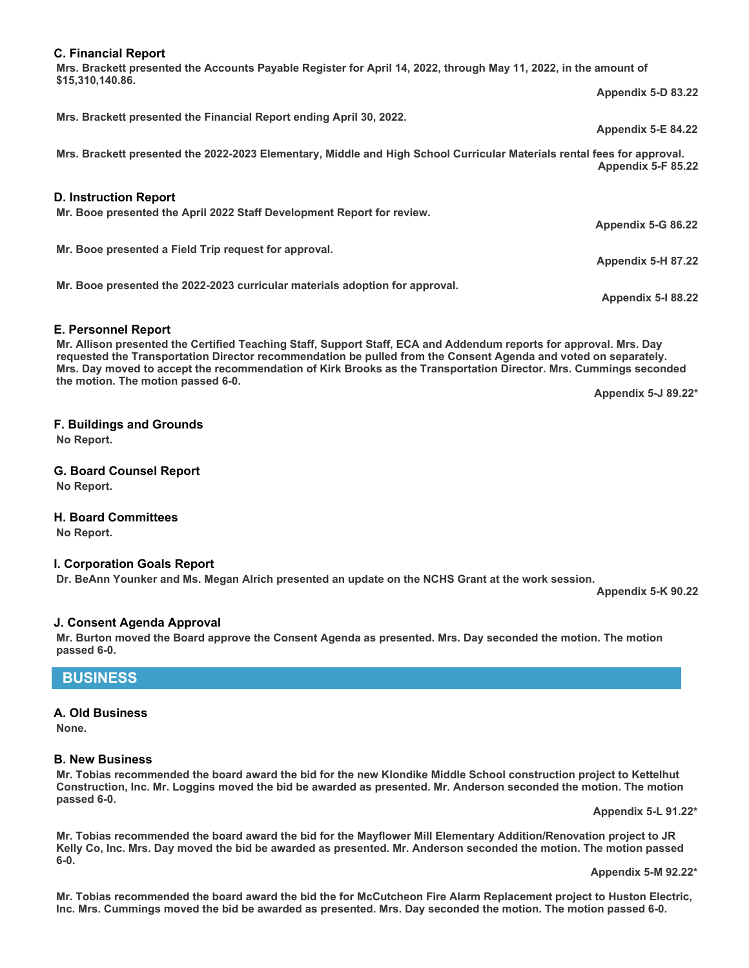#### **C. Financial Report**

**Mrs. Brackett presented the Accounts Payable Register for April 14, 2022, through May 11, 2022, in the amount of \$15,310,140.86.**

**Appendix 5-D 83.22 Mrs. Brackett presented the Financial Report ending April 30, 2022. Appendix 5-E 84.22 Mrs. Brackett presented the 2022-2023 Elementary, Middle and High School Curricular Materials rental fees for approval. Appendix 5-F 85.22 D. Instruction Report Mr. Booe presented the April 2022 Staff Development Report for review. Appendix 5-G 86.22 Mr. Booe presented a Field Trip request for approval. Appendix 5-H 87.22 Mr. Booe presented the 2022-2023 curricular materials adoption for approval.**

**E. Personnel Report** 

**Mr. Allison presented the Certified Teaching Staff, Support Staff, ECA and Addendum reports for approval. Mrs. Day requested the Transportation Director recommendation be pulled from the Consent Agenda and voted on separately. Mrs. Day moved to accept the recommendation of Kirk Brooks as the Transportation Director. Mrs. Cummings seconded the motion. The motion passed 6-0.**

**Appendix 5-J 89.22\***

**Appendix 5-I 88.22**

# **F. Buildings and Grounds**

**No Report.**

## **G. Board Counsel Report No Report.**

#### **H. Board Committees**

**No Report.**

#### **I. Corporation Goals Report**

**Dr. BeAnn Younker and Ms. Megan Alrich presented an update on the NCHS Grant at the work session.** 

**Appendix 5-K 90.22**

## **J. Consent Agenda Approval**

**Mr. Burton moved the Board approve the Consent Agenda as presented. Mrs. Day seconded the motion. The motion passed 6-0.**

## **BUSINESS**

#### **A. Old Business**

**None.**

#### **B. New Business**

**Mr. Tobias recommended the board award the bid for the new Klondike Middle School construction project to Kettelhut Construction, Inc. Mr. Loggins moved the bid be awarded as presented. Mr. Anderson seconded the motion. The motion passed 6-0.** 

**Appendix 5-L 91.22\***

**Mr. Tobias recommended the board award the bid for the Mayflower Mill Elementary Addition/Renovation project to JR Kelly Co, Inc. Mrs. Day moved the bid be awarded as presented. Mr. Anderson seconded the motion. The motion passed 6-0.**

**Appendix 5-M 92.22\***

**Mr. Tobias recommended the board award the bid the for McCutcheon Fire Alarm Replacement project to Huston Electric, Inc. Mrs. Cummings moved the bid be awarded as presented. Mrs. Day seconded the motion. The motion passed 6-0.**